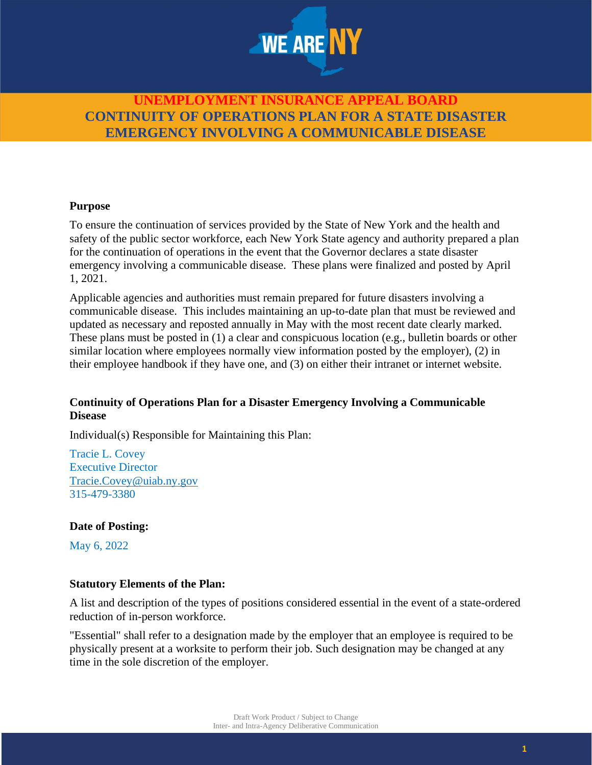

#### **Purpose**

To ensure the continuation of services provided by the State of New York and the health and safety of the public sector workforce, each New York State agency and authority prepared a plan for the continuation of operations in the event that the Governor declares a state disaster emergency involving a communicable disease. These plans were finalized and posted by April 1, 2021.

Applicable agencies and authorities must remain prepared for future disasters involving a communicable disease. This includes maintaining an up-to-date plan that must be reviewed and updated as necessary and reposted annually in May with the most recent date clearly marked. These plans must be posted in (1) a clear and conspicuous location (e.g., bulletin boards or other similar location where employees normally view information posted by the employer), (2) in their employee handbook if they have one, and (3) on either their intranet or internet website.

#### **Continuity of Operations Plan for a Disaster Emergency Involving a Communicable Disease**

Individual(s) Responsible for Maintaining this Plan:

Tracie L. Covey Executive Director [Tracie.Covey@uiab.ny.gov](mailto:Tracie.Covey@uiab.ny.gov) 315-479-3380

#### **Date of Posting:**

May 6, 2022

#### **Statutory Elements of the Plan:**

A list and description of the types of positions considered essential in the event of a state-ordered reduction of in-person workforce.

"Essential" shall refer to a designation made by the employer that an employee is required to be physically present at a worksite to perform their job. Such designation may be changed at any time in the sole discretion of the employer.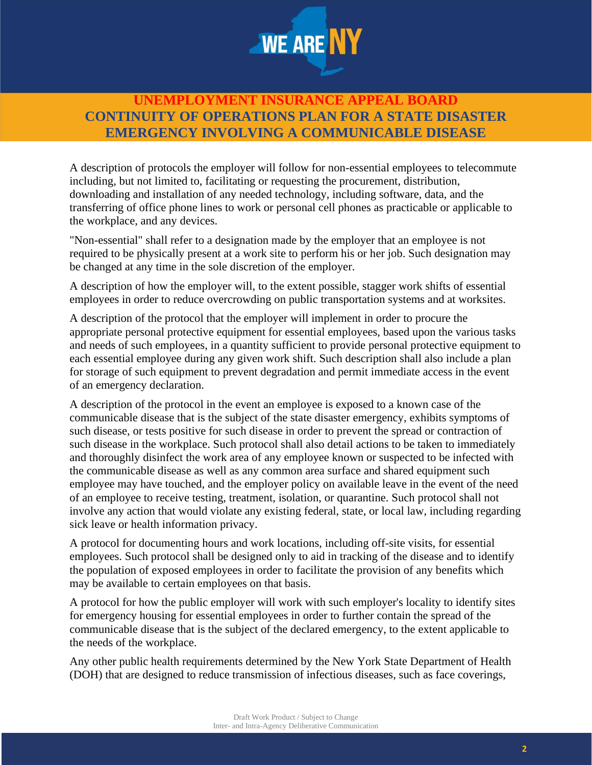

A description of protocols the employer will follow for non-essential employees to telecommute including, but not limited to, facilitating or requesting the procurement, distribution, downloading and installation of any needed technology, including software, data, and the transferring of office phone lines to work or personal cell phones as practicable or applicable to the workplace, and any devices.

"Non-essential" shall refer to a designation made by the employer that an employee is not required to be physically present at a work site to perform his or her job. Such designation may be changed at any time in the sole discretion of the employer.

A description of how the employer will, to the extent possible, stagger work shifts of essential employees in order to reduce overcrowding on public transportation systems and at worksites.

A description of the protocol that the employer will implement in order to procure the appropriate personal protective equipment for essential employees, based upon the various tasks and needs of such employees, in a quantity sufficient to provide personal protective equipment to each essential employee during any given work shift. Such description shall also include a plan for storage of such equipment to prevent degradation and permit immediate access in the event of an emergency declaration.

A description of the protocol in the event an employee is exposed to a known case of the communicable disease that is the subject of the state disaster emergency, exhibits symptoms of such disease, or tests positive for such disease in order to prevent the spread or contraction of such disease in the workplace. Such protocol shall also detail actions to be taken to immediately and thoroughly disinfect the work area of any employee known or suspected to be infected with the communicable disease as well as any common area surface and shared equipment such employee may have touched, and the employer policy on available leave in the event of the need of an employee to receive testing, treatment, isolation, or quarantine. Such protocol shall not involve any action that would violate any existing federal, state, or local law, including regarding sick leave or health information privacy.

A protocol for documenting hours and work locations, including off-site visits, for essential employees. Such protocol shall be designed only to aid in tracking of the disease and to identify the population of exposed employees in order to facilitate the provision of any benefits which may be available to certain employees on that basis.

A protocol for how the public employer will work with such employer's locality to identify sites for emergency housing for essential employees in order to further contain the spread of the communicable disease that is the subject of the declared emergency, to the extent applicable to the needs of the workplace.

Any other public health requirements determined by the New York State Department of Health (DOH) that are designed to reduce transmission of infectious diseases, such as face coverings,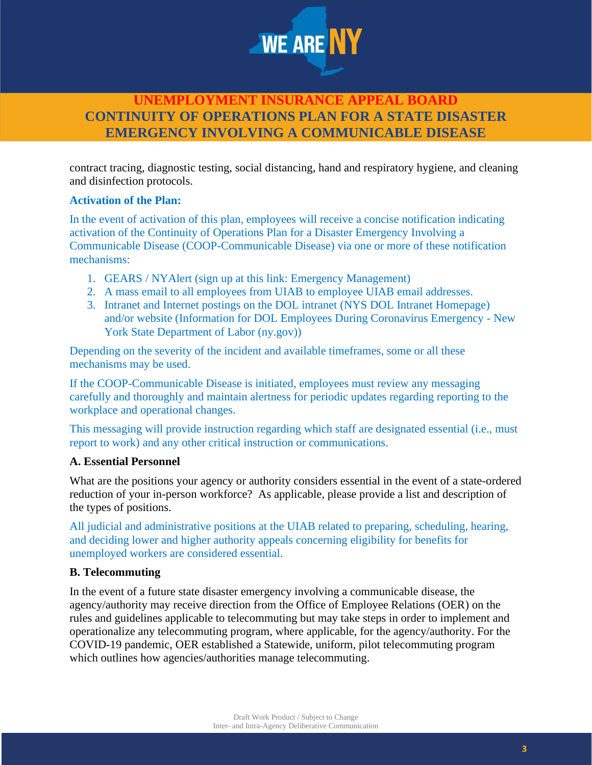

contract tracing, diagnostic testing, social distancing, hand and respiratory hygiene, and cleaning and disinfection protocols.

### **Activation of the Plan:**

In the event of activation of this plan, employees will receive a concise notification indicating activation of the Continuity of Operations Plan for a Disaster Emergency Involving a Communicable Disease (COOP-Communicable Disease) via one or more of these notification mechanisms:

- 1. GEARS / NYAlert (sign up at this link: Emergency Management)
- 2. A mass email to all employees from UIAB to employee UIAB email addresses.
- 3. Intranet and Internet postings on the DOL intranet (NYS DOL Intranet Homepage) and/or website (Information for DOL Employees During Coronavirus Emergency - New York State Department of Labor (ny.gov))

Depending on the severity of the incident and available timeframes, some or all these mechanisms may be used.

If the COOP-Communicable Disease is initiated, employees must review any messaging carefully and thoroughly and maintain alertness for periodic updates regarding reporting to the workplace and operational changes.

This messaging will provide instruction regarding which staff are designated essential (i.e., must report to work) and any other critical instruction or communications.

#### **A. Essential Personnel**

What are the positions your agency or authority considers essential in the event of a state-ordered reduction of your in-person workforce? As applicable, please provide a list and description of the types of positions.

All judicial and administrative positions at the UIAB related to preparing, scheduling, hearing, and deciding lower and higher authority appeals concerning eligibility for benefits for unemployed workers are considered essential.

### **B. Telecommuting**

In the event of a future state disaster emergency involving a communicable disease, the agency/authority may receive direction from the Office of Employee Relations (OER) on the rules and guidelines applicable to telecommuting but may take steps in order to implement and operationalize any telecommuting program, where applicable, for the agency/authority. For the COVID-19 pandemic, OER established a Statewide, uniform, pilot telecommuting program which outlines how agencies/authorities manage telecommuting.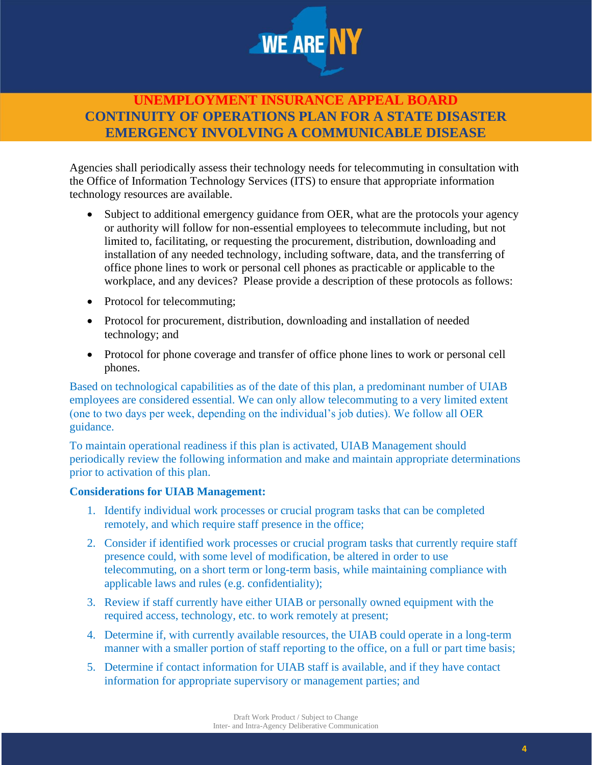

Agencies shall periodically assess their technology needs for telecommuting in consultation with the Office of Information Technology Services (ITS) to ensure that appropriate information technology resources are available.

- Subject to additional emergency guidance from OER, what are the protocols your agency or authority will follow for non-essential employees to telecommute including, but not limited to, facilitating, or requesting the procurement, distribution, downloading and installation of any needed technology, including software, data, and the transferring of office phone lines to work or personal cell phones as practicable or applicable to the workplace, and any devices? Please provide a description of these protocols as follows:
- Protocol for telecommuting;
- Protocol for procurement, distribution, downloading and installation of needed technology; and
- Protocol for phone coverage and transfer of office phone lines to work or personal cell phones.

Based on technological capabilities as of the date of this plan, a predominant number of UIAB employees are considered essential. We can only allow telecommuting to a very limited extent (one to two days per week, depending on the individual's job duties). We follow all OER guidance.

To maintain operational readiness if this plan is activated, UIAB Management should periodically review the following information and make and maintain appropriate determinations prior to activation of this plan.

#### **Considerations for UIAB Management:**

- 1. Identify individual work processes or crucial program tasks that can be completed remotely, and which require staff presence in the office;
- 2. Consider if identified work processes or crucial program tasks that currently require staff presence could, with some level of modification, be altered in order to use telecommuting, on a short term or long-term basis, while maintaining compliance with applicable laws and rules (e.g. confidentiality);
- 3. Review if staff currently have either UIAB or personally owned equipment with the required access, technology, etc. to work remotely at present;
- 4. Determine if, with currently available resources, the UIAB could operate in a long-term manner with a smaller portion of staff reporting to the office, on a full or part time basis;
- 5. Determine if contact information for UIAB staff is available, and if they have contact information for appropriate supervisory or management parties; and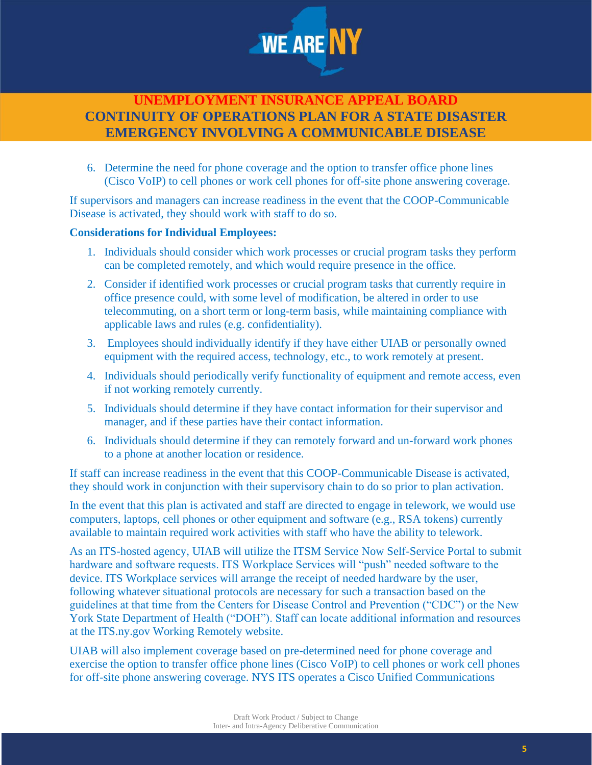

6. Determine the need for phone coverage and the option to transfer office phone lines (Cisco VoIP) to cell phones or work cell phones for off-site phone answering coverage.

If supervisors and managers can increase readiness in the event that the COOP-Communicable Disease is activated, they should work with staff to do so.

#### **Considerations for Individual Employees:**

- 1. Individuals should consider which work processes or crucial program tasks they perform can be completed remotely, and which would require presence in the office.
- 2. Consider if identified work processes or crucial program tasks that currently require in office presence could, with some level of modification, be altered in order to use telecommuting, on a short term or long-term basis, while maintaining compliance with applicable laws and rules (e.g. confidentiality).
- 3. Employees should individually identify if they have either UIAB or personally owned equipment with the required access, technology, etc., to work remotely at present.
- 4. Individuals should periodically verify functionality of equipment and remote access, even if not working remotely currently.
- 5. Individuals should determine if they have contact information for their supervisor and manager, and if these parties have their contact information.
- 6. Individuals should determine if they can remotely forward and un-forward work phones to a phone at another location or residence.

If staff can increase readiness in the event that this COOP-Communicable Disease is activated, they should work in conjunction with their supervisory chain to do so prior to plan activation.

In the event that this plan is activated and staff are directed to engage in telework, we would use computers, laptops, cell phones or other equipment and software (e.g., RSA tokens) currently available to maintain required work activities with staff who have the ability to telework.

As an ITS-hosted agency, UIAB will utilize the ITSM Service Now Self-Service Portal to submit hardware and software requests. ITS Workplace Services will "push" needed software to the device. ITS Workplace services will arrange the receipt of needed hardware by the user, following whatever situational protocols are necessary for such a transaction based on the guidelines at that time from the Centers for Disease Control and Prevention ("CDC") or the New York State Department of Health ("DOH"). Staff can locate additional information and resources at the ITS.ny.gov Working Remotely website.

UIAB will also implement coverage based on pre-determined need for phone coverage and exercise the option to transfer office phone lines (Cisco VoIP) to cell phones or work cell phones for off-site phone answering coverage. NYS ITS operates a Cisco Unified Communications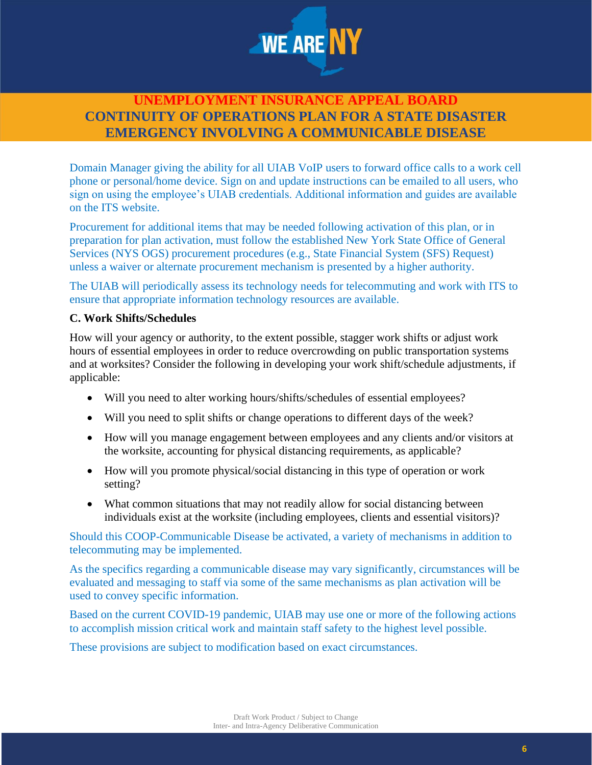

Domain Manager giving the ability for all UIAB VoIP users to forward office calls to a work cell phone or personal/home device. Sign on and update instructions can be emailed to all users, who sign on using the employee's UIAB credentials. Additional information and guides are available on the ITS website.

Procurement for additional items that may be needed following activation of this plan, or in preparation for plan activation, must follow the established New York State Office of General Services (NYS OGS) procurement procedures (e.g., State Financial System (SFS) Request) unless a waiver or alternate procurement mechanism is presented by a higher authority.

The UIAB will periodically assess its technology needs for telecommuting and work with ITS to ensure that appropriate information technology resources are available.

### **C. Work Shifts/Schedules**

How will your agency or authority, to the extent possible, stagger work shifts or adjust work hours of essential employees in order to reduce overcrowding on public transportation systems and at worksites? Consider the following in developing your work shift/schedule adjustments, if applicable:

- Will you need to alter working hours/shifts/schedules of essential employees?
- Will you need to split shifts or change operations to different days of the week?
- How will you manage engagement between employees and any clients and/or visitors at the worksite, accounting for physical distancing requirements, as applicable?
- How will you promote physical/social distancing in this type of operation or work setting?
- What common situations that may not readily allow for social distancing between individuals exist at the worksite (including employees, clients and essential visitors)?

Should this COOP-Communicable Disease be activated, a variety of mechanisms in addition to telecommuting may be implemented.

As the specifics regarding a communicable disease may vary significantly, circumstances will be evaluated and messaging to staff via some of the same mechanisms as plan activation will be used to convey specific information.

Based on the current COVID-19 pandemic, UIAB may use one or more of the following actions to accomplish mission critical work and maintain staff safety to the highest level possible.

These provisions are subject to modification based on exact circumstances.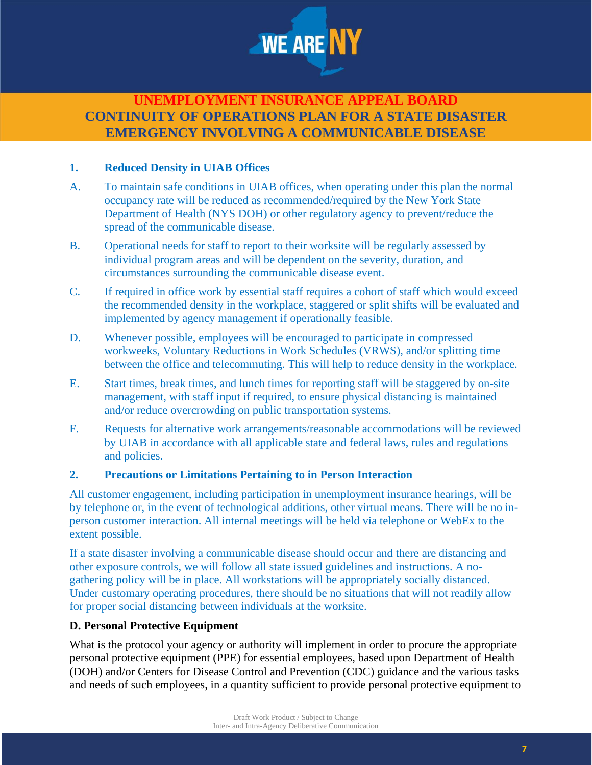

### **1. Reduced Density in UIAB Offices**

- A. To maintain safe conditions in UIAB offices, when operating under this plan the normal occupancy rate will be reduced as recommended/required by the New York State Department of Health (NYS DOH) or other regulatory agency to prevent/reduce the spread of the communicable disease.
- B. Operational needs for staff to report to their worksite will be regularly assessed by individual program areas and will be dependent on the severity, duration, and circumstances surrounding the communicable disease event.
- C. If required in office work by essential staff requires a cohort of staff which would exceed the recommended density in the workplace, staggered or split shifts will be evaluated and implemented by agency management if operationally feasible.
- D. Whenever possible, employees will be encouraged to participate in compressed workweeks, Voluntary Reductions in Work Schedules (VRWS), and/or splitting time between the office and telecommuting. This will help to reduce density in the workplace.
- E. Start times, break times, and lunch times for reporting staff will be staggered by on-site management, with staff input if required, to ensure physical distancing is maintained and/or reduce overcrowding on public transportation systems.
- F. Requests for alternative work arrangements/reasonable accommodations will be reviewed by UIAB in accordance with all applicable state and federal laws, rules and regulations and policies.

#### **2. Precautions or Limitations Pertaining to in Person Interaction**

All customer engagement, including participation in unemployment insurance hearings, will be by telephone or, in the event of technological additions, other virtual means. There will be no inperson customer interaction. All internal meetings will be held via telephone or WebEx to the extent possible.

If a state disaster involving a communicable disease should occur and there are distancing and other exposure controls, we will follow all state issued guidelines and instructions. A nogathering policy will be in place. All workstations will be appropriately socially distanced. Under customary operating procedures, there should be no situations that will not readily allow for proper social distancing between individuals at the worksite.

#### **D. Personal Protective Equipment**

What is the protocol your agency or authority will implement in order to procure the appropriate personal protective equipment (PPE) for essential employees, based upon Department of Health (DOH) and/or Centers for Disease Control and Prevention (CDC) guidance and the various tasks and needs of such employees, in a quantity sufficient to provide personal protective equipment to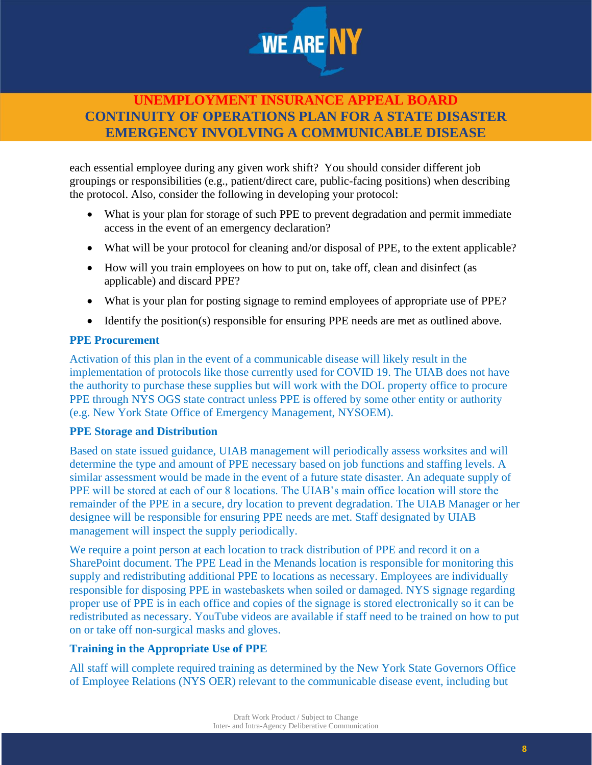

each essential employee during any given work shift? You should consider different job groupings or responsibilities (e.g., patient/direct care, public-facing positions) when describing the protocol. Also, consider the following in developing your protocol:

- What is your plan for storage of such PPE to prevent degradation and permit immediate access in the event of an emergency declaration?
- What will be your protocol for cleaning and/or disposal of PPE, to the extent applicable?
- How will you train employees on how to put on, take off, clean and disinfect (as applicable) and discard PPE?
- What is your plan for posting signage to remind employees of appropriate use of PPE?
- Identify the position(s) responsible for ensuring PPE needs are met as outlined above.

#### **PPE Procurement**

Activation of this plan in the event of a communicable disease will likely result in the implementation of protocols like those currently used for COVID 19. The UIAB does not have the authority to purchase these supplies but will work with the DOL property office to procure PPE through NYS OGS state contract unless PPE is offered by some other entity or authority (e.g. New York State Office of Emergency Management, NYSOEM).

#### **PPE Storage and Distribution**

Based on state issued guidance, UIAB management will periodically assess worksites and will determine the type and amount of PPE necessary based on job functions and staffing levels. A similar assessment would be made in the event of a future state disaster. An adequate supply of PPE will be stored at each of our 8 locations. The UIAB's main office location will store the remainder of the PPE in a secure, dry location to prevent degradation. The UIAB Manager or her designee will be responsible for ensuring PPE needs are met. Staff designated by UIAB management will inspect the supply periodically.

We require a point person at each location to track distribution of PPE and record it on a SharePoint document. The PPE Lead in the Menands location is responsible for monitoring this supply and redistributing additional PPE to locations as necessary. Employees are individually responsible for disposing PPE in wastebaskets when soiled or damaged. NYS signage regarding proper use of PPE is in each office and copies of the signage is stored electronically so it can be redistributed as necessary. YouTube videos are available if staff need to be trained on how to put on or take off non-surgical masks and gloves.

### **Training in the Appropriate Use of PPE**

All staff will complete required training as determined by the New York State Governors Office of Employee Relations (NYS OER) relevant to the communicable disease event, including but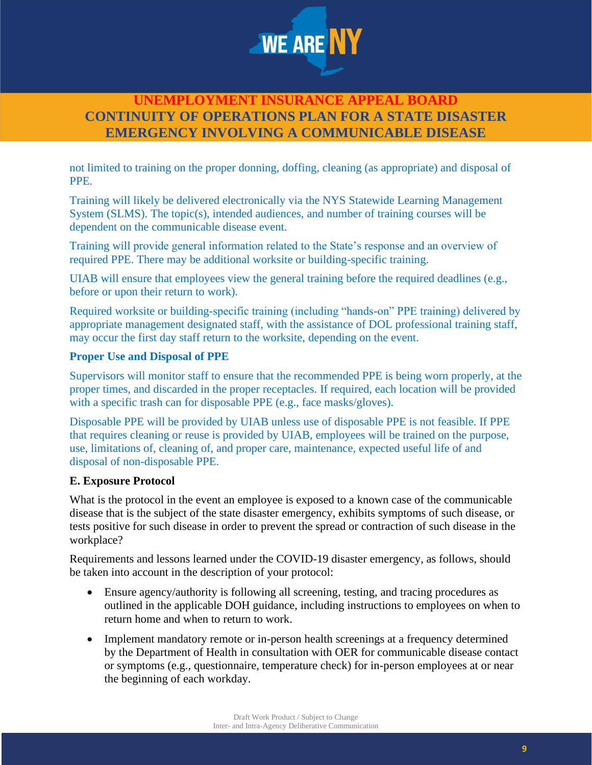

not limited to training on the proper donning, doffing, cleaning (as appropriate) and disposal of PPE.

Training will likely be delivered electronically via the NYS Statewide Learning Management System (SLMS). The topic(s), intended audiences, and number of training courses will be dependent on the communicable disease event.

Training will provide general information related to the State's response and an overview of required PPE. There may be additional worksite or building-specific training.

UIAB will ensure that employees view the general training before the required deadlines (e.g., before or upon their return to work).

Required worksite or building-specific training (including "hands-on" PPE training) delivered by appropriate management designated staff, with the assistance of DOL professional training staff, may occur the first day staff return to the worksite, depending on the event.

### **Proper Use and Disposal of PPE**

Supervisors will monitor staff to ensure that the recommended PPE is being worn properly, at the proper times, and discarded in the proper receptacles. If required, each location will be provided with a specific trash can for disposable PPE (e.g., face masks/gloves).

Disposable PPE will be provided by UIAB unless use of disposable PPE is not feasible. If PPE that requires cleaning or reuse is provided by UIAB, employees will be trained on the purpose, use, limitations of, cleaning of, and proper care, maintenance, expected useful life of and disposal of non-disposable PPE.

### **E. Exposure Protocol**

What is the protocol in the event an employee is exposed to a known case of the communicable disease that is the subject of the state disaster emergency, exhibits symptoms of such disease, or tests positive for such disease in order to prevent the spread or contraction of such disease in the workplace?

Requirements and lessons learned under the COVID-19 disaster emergency, as follows, should be taken into account in the description of your protocol:

- Ensure agency/authority is following all screening, testing, and tracing procedures as outlined in the applicable DOH guidance, including instructions to employees on when to return home and when to return to work.
- Implement mandatory remote or in-person health screenings at a frequency determined by the Department of Health in consultation with OER for communicable disease contact or symptoms (e.g., questionnaire, temperature check) for in-person employees at or near the beginning of each workday.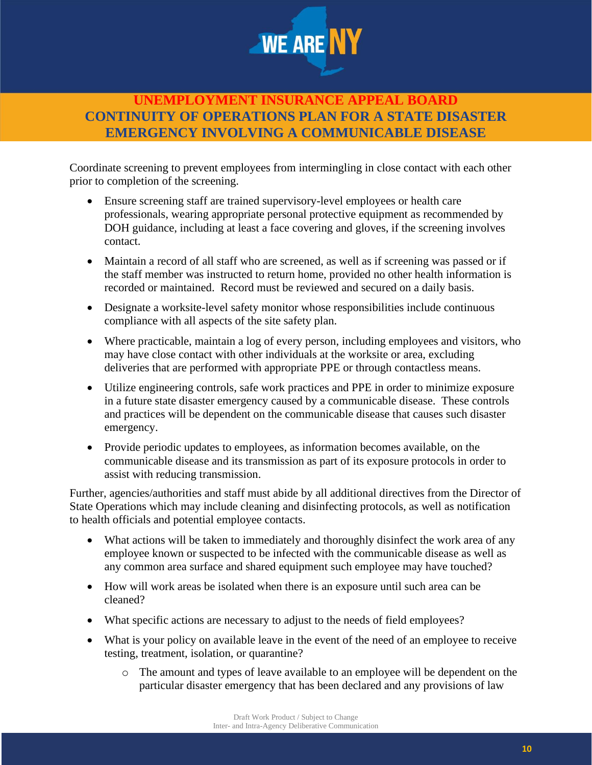

Coordinate screening to prevent employees from intermingling in close contact with each other prior to completion of the screening.

- Ensure screening staff are trained supervisory-level employees or health care professionals, wearing appropriate personal protective equipment as recommended by DOH guidance, including at least a face covering and gloves, if the screening involves contact.
- Maintain a record of all staff who are screened, as well as if screening was passed or if the staff member was instructed to return home, provided no other health information is recorded or maintained. Record must be reviewed and secured on a daily basis.
- Designate a worksite-level safety monitor whose responsibilities include continuous compliance with all aspects of the site safety plan.
- Where practicable, maintain a log of every person, including employees and visitors, who may have close contact with other individuals at the worksite or area, excluding deliveries that are performed with appropriate PPE or through contactless means.
- Utilize engineering controls, safe work practices and PPE in order to minimize exposure in a future state disaster emergency caused by a communicable disease. These controls and practices will be dependent on the communicable disease that causes such disaster emergency.
- Provide periodic updates to employees, as information becomes available, on the communicable disease and its transmission as part of its exposure protocols in order to assist with reducing transmission.

Further, agencies/authorities and staff must abide by all additional directives from the Director of State Operations which may include cleaning and disinfecting protocols, as well as notification to health officials and potential employee contacts.

- What actions will be taken to immediately and thoroughly disinfect the work area of any employee known or suspected to be infected with the communicable disease as well as any common area surface and shared equipment such employee may have touched?
- How will work areas be isolated when there is an exposure until such area can be cleaned?
- What specific actions are necessary to adjust to the needs of field employees?
- What is your policy on available leave in the event of the need of an employee to receive testing, treatment, isolation, or quarantine?
	- o The amount and types of leave available to an employee will be dependent on the particular disaster emergency that has been declared and any provisions of law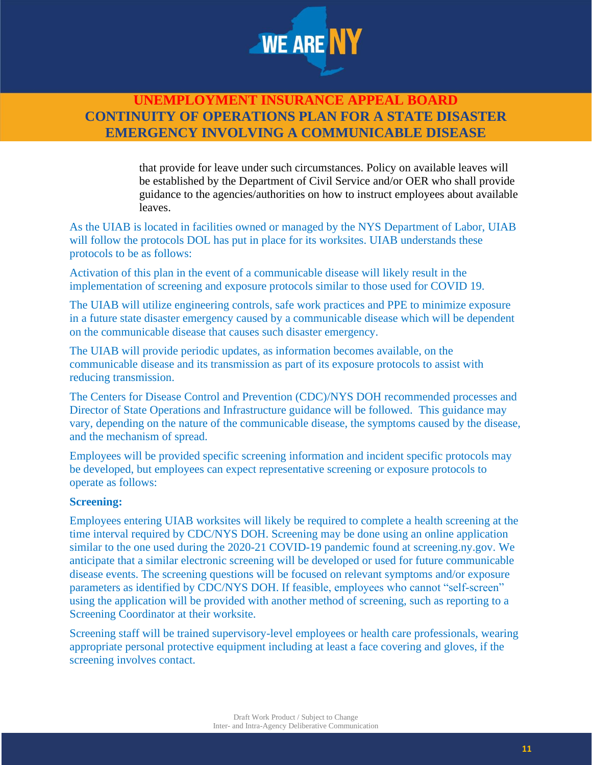

that provide for leave under such circumstances. Policy on available leaves will be established by the Department of Civil Service and/or OER who shall provide guidance to the agencies/authorities on how to instruct employees about available leaves.

As the UIAB is located in facilities owned or managed by the NYS Department of Labor, UIAB will follow the protocols DOL has put in place for its worksites. UIAB understands these protocols to be as follows:

Activation of this plan in the event of a communicable disease will likely result in the implementation of screening and exposure protocols similar to those used for COVID 19.

The UIAB will utilize engineering controls, safe work practices and PPE to minimize exposure in a future state disaster emergency caused by a communicable disease which will be dependent on the communicable disease that causes such disaster emergency.

The UIAB will provide periodic updates, as information becomes available, on the communicable disease and its transmission as part of its exposure protocols to assist with reducing transmission.

The Centers for Disease Control and Prevention (CDC)/NYS DOH recommended processes and Director of State Operations and Infrastructure guidance will be followed. This guidance may vary, depending on the nature of the communicable disease, the symptoms caused by the disease, and the mechanism of spread.

Employees will be provided specific screening information and incident specific protocols may be developed, but employees can expect representative screening or exposure protocols to operate as follows:

#### **Screening:**

Employees entering UIAB worksites will likely be required to complete a health screening at the time interval required by CDC/NYS DOH. Screening may be done using an online application similar to the one used during the 2020-21 COVID-19 pandemic found at screening.ny.gov. We anticipate that a similar electronic screening will be developed or used for future communicable disease events. The screening questions will be focused on relevant symptoms and/or exposure parameters as identified by CDC/NYS DOH. If feasible, employees who cannot "self-screen" using the application will be provided with another method of screening, such as reporting to a Screening Coordinator at their worksite.

Screening staff will be trained supervisory-level employees or health care professionals, wearing appropriate personal protective equipment including at least a face covering and gloves, if the screening involves contact.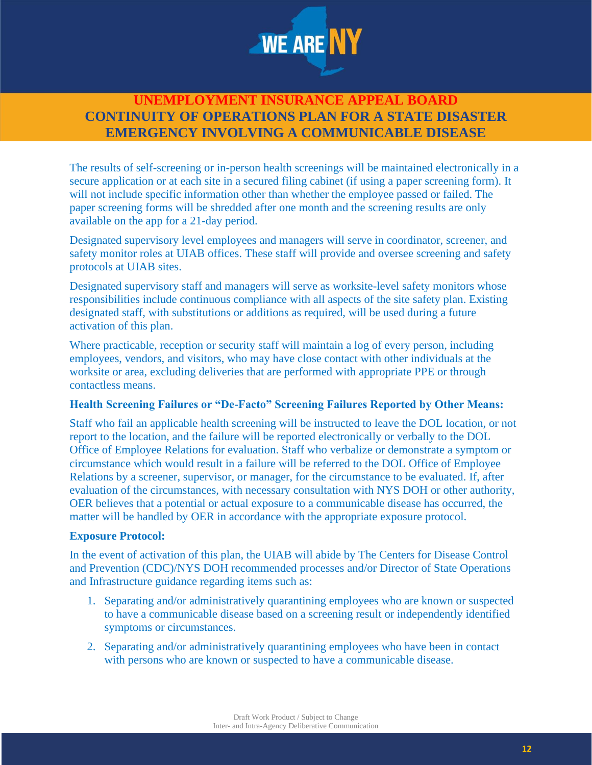

The results of self-screening or in-person health screenings will be maintained electronically in a secure application or at each site in a secured filing cabinet (if using a paper screening form). It will not include specific information other than whether the employee passed or failed. The paper screening forms will be shredded after one month and the screening results are only available on the app for a 21-day period.

Designated supervisory level employees and managers will serve in coordinator, screener, and safety monitor roles at UIAB offices. These staff will provide and oversee screening and safety protocols at UIAB sites.

Designated supervisory staff and managers will serve as worksite-level safety monitors whose responsibilities include continuous compliance with all aspects of the site safety plan. Existing designated staff, with substitutions or additions as required, will be used during a future activation of this plan.

Where practicable, reception or security staff will maintain a log of every person, including employees, vendors, and visitors, who may have close contact with other individuals at the worksite or area, excluding deliveries that are performed with appropriate PPE or through contactless means.

#### **Health Screening Failures or "De-Facto" Screening Failures Reported by Other Means:**

Staff who fail an applicable health screening will be instructed to leave the DOL location, or not report to the location, and the failure will be reported electronically or verbally to the DOL Office of Employee Relations for evaluation. Staff who verbalize or demonstrate a symptom or circumstance which would result in a failure will be referred to the DOL Office of Employee Relations by a screener, supervisor, or manager, for the circumstance to be evaluated. If, after evaluation of the circumstances, with necessary consultation with NYS DOH or other authority, OER believes that a potential or actual exposure to a communicable disease has occurred, the matter will be handled by OER in accordance with the appropriate exposure protocol.

#### **Exposure Protocol:**

In the event of activation of this plan, the UIAB will abide by The Centers for Disease Control and Prevention (CDC)/NYS DOH recommended processes and/or Director of State Operations and Infrastructure guidance regarding items such as:

- 1. Separating and/or administratively quarantining employees who are known or suspected to have a communicable disease based on a screening result or independently identified symptoms or circumstances.
- 2. Separating and/or administratively quarantining employees who have been in contact with persons who are known or suspected to have a communicable disease.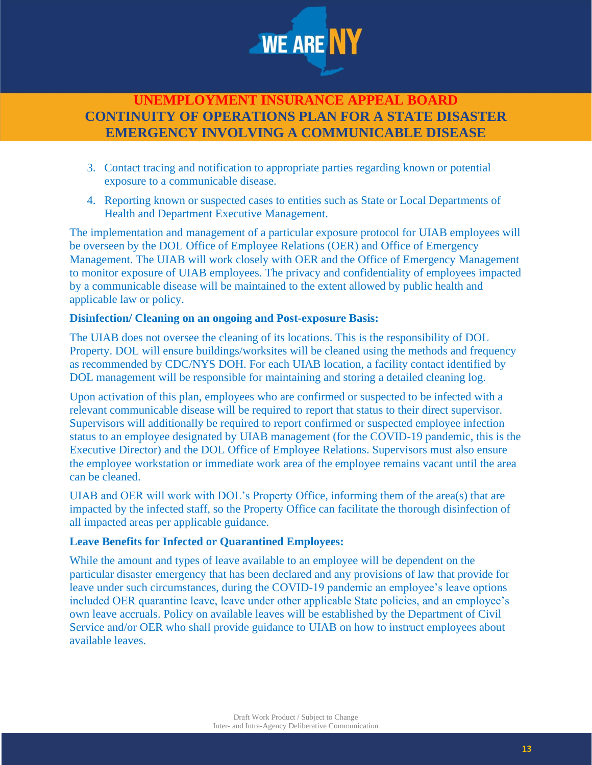

- 3. Contact tracing and notification to appropriate parties regarding known or potential exposure to a communicable disease.
- 4. Reporting known or suspected cases to entities such as State or Local Departments of Health and Department Executive Management.

The implementation and management of a particular exposure protocol for UIAB employees will be overseen by the DOL Office of Employee Relations (OER) and Office of Emergency Management. The UIAB will work closely with OER and the Office of Emergency Management to monitor exposure of UIAB employees. The privacy and confidentiality of employees impacted by a communicable disease will be maintained to the extent allowed by public health and applicable law or policy.

### **Disinfection/ Cleaning on an ongoing and Post-exposure Basis:**

The UIAB does not oversee the cleaning of its locations. This is the responsibility of DOL Property. DOL will ensure buildings/worksites will be cleaned using the methods and frequency as recommended by CDC/NYS DOH. For each UIAB location, a facility contact identified by DOL management will be responsible for maintaining and storing a detailed cleaning log.

Upon activation of this plan, employees who are confirmed or suspected to be infected with a relevant communicable disease will be required to report that status to their direct supervisor. Supervisors will additionally be required to report confirmed or suspected employee infection status to an employee designated by UIAB management (for the COVID-19 pandemic, this is the Executive Director) and the DOL Office of Employee Relations. Supervisors must also ensure the employee workstation or immediate work area of the employee remains vacant until the area can be cleaned.

UIAB and OER will work with DOL's Property Office, informing them of the area(s) that are impacted by the infected staff, so the Property Office can facilitate the thorough disinfection of all impacted areas per applicable guidance.

### **Leave Benefits for Infected or Quarantined Employees:**

While the amount and types of leave available to an employee will be dependent on the particular disaster emergency that has been declared and any provisions of law that provide for leave under such circumstances, during the COVID-19 pandemic an employee's leave options included OER quarantine leave, leave under other applicable State policies, and an employee's own leave accruals. Policy on available leaves will be established by the Department of Civil Service and/or OER who shall provide guidance to UIAB on how to instruct employees about available leaves.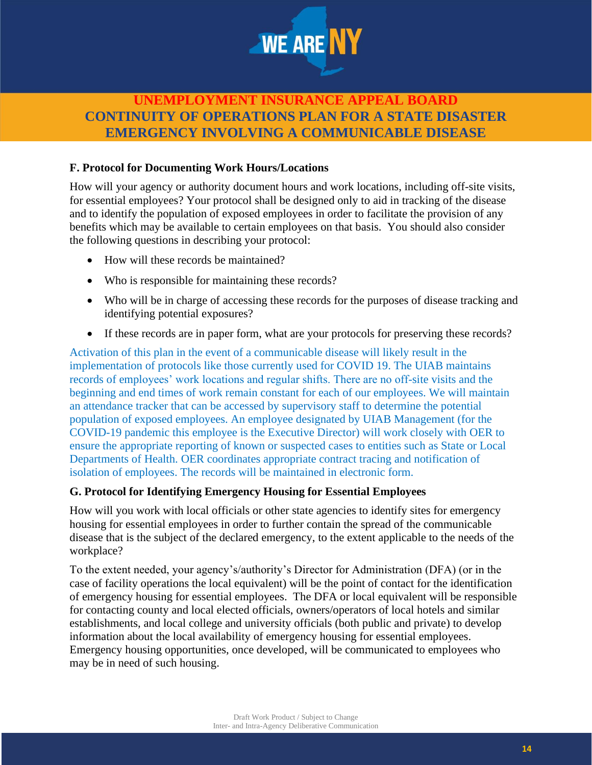

### **F. Protocol for Documenting Work Hours/Locations**

How will your agency or authority document hours and work locations, including off-site visits, for essential employees? Your protocol shall be designed only to aid in tracking of the disease and to identify the population of exposed employees in order to facilitate the provision of any benefits which may be available to certain employees on that basis. You should also consider the following questions in describing your protocol:

- How will these records be maintained?
- Who is responsible for maintaining these records?
- Who will be in charge of accessing these records for the purposes of disease tracking and identifying potential exposures?
- If these records are in paper form, what are your protocols for preserving these records?

Activation of this plan in the event of a communicable disease will likely result in the implementation of protocols like those currently used for COVID 19. The UIAB maintains records of employees' work locations and regular shifts. There are no off-site visits and the beginning and end times of work remain constant for each of our employees. We will maintain an attendance tracker that can be accessed by supervisory staff to determine the potential population of exposed employees. An employee designated by UIAB Management (for the COVID-19 pandemic this employee is the Executive Director) will work closely with OER to ensure the appropriate reporting of known or suspected cases to entities such as State or Local Departments of Health. OER coordinates appropriate contract tracing and notification of isolation of employees. The records will be maintained in electronic form.

#### **G. Protocol for Identifying Emergency Housing for Essential Employees**

How will you work with local officials or other state agencies to identify sites for emergency housing for essential employees in order to further contain the spread of the communicable disease that is the subject of the declared emergency, to the extent applicable to the needs of the workplace?

To the extent needed, your agency's/authority's Director for Administration (DFA) (or in the case of facility operations the local equivalent) will be the point of contact for the identification of emergency housing for essential employees. The DFA or local equivalent will be responsible for contacting county and local elected officials, owners/operators of local hotels and similar establishments, and local college and university officials (both public and private) to develop information about the local availability of emergency housing for essential employees. Emergency housing opportunities, once developed, will be communicated to employees who may be in need of such housing.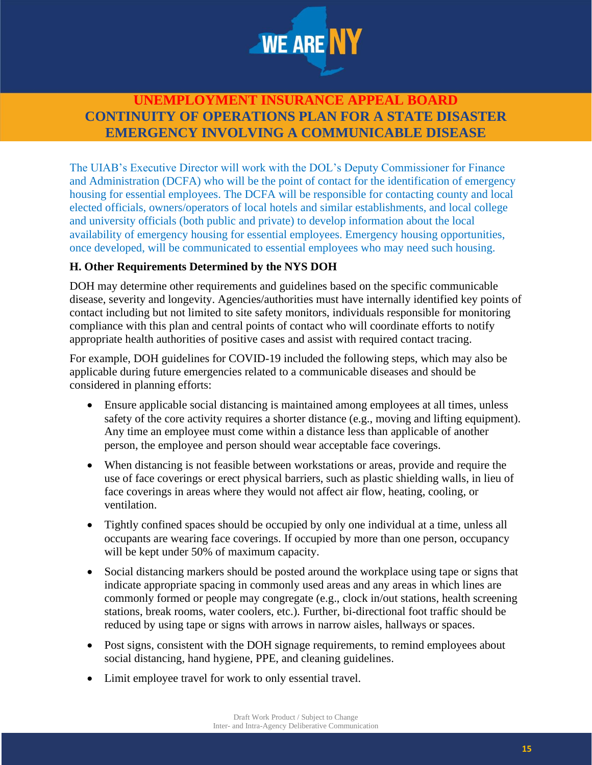

The UIAB's Executive Director will work with the DOL's Deputy Commissioner for Finance and Administration (DCFA) who will be the point of contact for the identification of emergency housing for essential employees. The DCFA will be responsible for contacting county and local elected officials, owners/operators of local hotels and similar establishments, and local college and university officials (both public and private) to develop information about the local availability of emergency housing for essential employees. Emergency housing opportunities, once developed, will be communicated to essential employees who may need such housing.

### **H. Other Requirements Determined by the NYS DOH**

DOH may determine other requirements and guidelines based on the specific communicable disease, severity and longevity. Agencies/authorities must have internally identified key points of contact including but not limited to site safety monitors, individuals responsible for monitoring compliance with this plan and central points of contact who will coordinate efforts to notify appropriate health authorities of positive cases and assist with required contact tracing.

For example, DOH guidelines for COVID-19 included the following steps, which may also be applicable during future emergencies related to a communicable diseases and should be considered in planning efforts:

- Ensure applicable social distancing is maintained among employees at all times, unless safety of the core activity requires a shorter distance (e.g., moving and lifting equipment). Any time an employee must come within a distance less than applicable of another person, the employee and person should wear acceptable face coverings.
- When distancing is not feasible between workstations or areas, provide and require the use of face coverings or erect physical barriers, such as plastic shielding walls, in lieu of face coverings in areas where they would not affect air flow, heating, cooling, or ventilation.
- Tightly confined spaces should be occupied by only one individual at a time, unless all occupants are wearing face coverings. If occupied by more than one person, occupancy will be kept under 50% of maximum capacity.
- Social distancing markers should be posted around the workplace using tape or signs that indicate appropriate spacing in commonly used areas and any areas in which lines are commonly formed or people may congregate (e.g., clock in/out stations, health screening stations, break rooms, water coolers, etc.). Further, bi-directional foot traffic should be reduced by using tape or signs with arrows in narrow aisles, hallways or spaces.
- Post signs, consistent with the DOH signage requirements, to remind employees about social distancing, hand hygiene, PPE, and cleaning guidelines.
- Limit employee travel for work to only essential travel.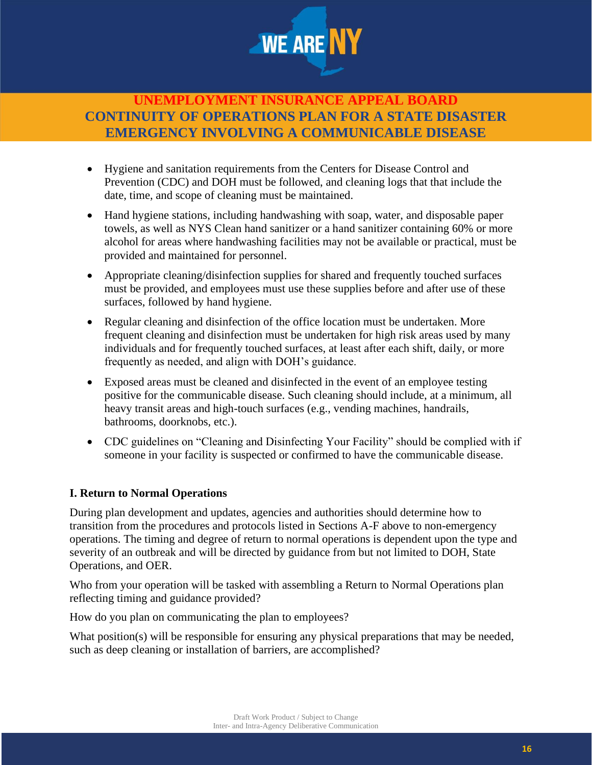

- Hygiene and sanitation requirements from the Centers for Disease Control and Prevention (CDC) and DOH must be followed, and cleaning logs that that include the date, time, and scope of cleaning must be maintained.
- Hand hygiene stations, including handwashing with soap, water, and disposable paper towels, as well as NYS Clean hand sanitizer or a hand sanitizer containing 60% or more alcohol for areas where handwashing facilities may not be available or practical, must be provided and maintained for personnel.
- Appropriate cleaning/disinfection supplies for shared and frequently touched surfaces must be provided, and employees must use these supplies before and after use of these surfaces, followed by hand hygiene.
- Regular cleaning and disinfection of the office location must be undertaken. More frequent cleaning and disinfection must be undertaken for high risk areas used by many individuals and for frequently touched surfaces, at least after each shift, daily, or more frequently as needed, and align with DOH's guidance.
- Exposed areas must be cleaned and disinfected in the event of an employee testing positive for the communicable disease. Such cleaning should include, at a minimum, all heavy transit areas and high-touch surfaces (e.g., vending machines, handrails, bathrooms, doorknobs, etc.).
- CDC guidelines on "Cleaning and Disinfecting Your Facility" should be complied with if someone in your facility is suspected or confirmed to have the communicable disease.

### **I. Return to Normal Operations**

During plan development and updates, agencies and authorities should determine how to transition from the procedures and protocols listed in Sections A-F above to non-emergency operations. The timing and degree of return to normal operations is dependent upon the type and severity of an outbreak and will be directed by guidance from but not limited to DOH, State Operations, and OER.

Who from your operation will be tasked with assembling a Return to Normal Operations plan reflecting timing and guidance provided?

How do you plan on communicating the plan to employees?

What position(s) will be responsible for ensuring any physical preparations that may be needed, such as deep cleaning or installation of barriers, are accomplished?